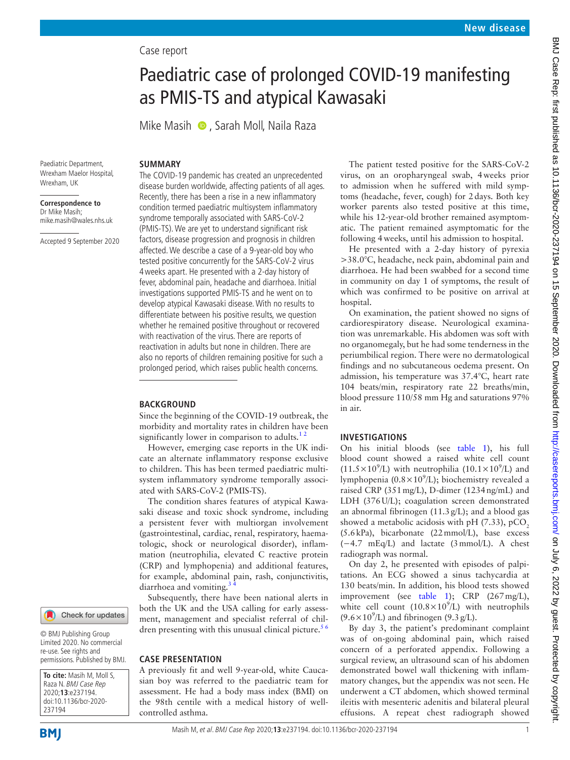# Case report

# Paediatric case of prolonged COVID-19 manifesting as PMIS-TS and atypical Kawasaki

MikeMasih **D**, Sarah Moll, Naila Raza

Paediatric Department, Wrexham Maelor Hospital, Wrexham, UK

**Correspondence to** Dr Mike Masih; mike.masih@wales.nhs.uk

Accepted 9 September 2020

### **SUMMARY**

The COVID-19 pandemic has created an unprecedented disease burden worldwide, affecting patients of all ages. Recently, there has been a rise in a new inflammatory condition termed paediatric multisystem inflammatory syndrome temporally associated with SARS-CoV-2 (PMIS-TS). We are yet to understand significant risk factors, disease progression and prognosis in children affected. We describe a case of a 9-year-old boy who tested positive concurrently for the SARS-CoV-2 virus 4weeks apart. He presented with a 2-day history of fever, abdominal pain, headache and diarrhoea. Initial investigations supported PMIS-TS and he went on to develop atypical Kawasaki disease. With no results to differentiate between his positive results, we question whether he remained positive throughout or recovered with reactivation of the virus. There are reports of reactivation in adults but none in children. There are also no reports of children remaining positive for such a prolonged period, which raises public health concerns.

### **BACKGROUND**

Since the beginning of the COVID-19 outbreak, the morbidity and mortality rates in children have been significantly lower in comparison to adults. $12$ 

However, emerging case reports in the UK indicate an alternate inflammatory response exclusive to children. This has been termed paediatric multisystem inflammatory syndrome temporally associated with SARS-CoV-2 (PMIS-TS).

The condition shares features of atypical Kawasaki disease and toxic shock syndrome, including a persistent fever with multiorgan involvement (gastrointestinal, cardiac, renal, respiratory, haematologic, shock or neurological disorder), inflammation (neutrophilia, elevated C reactive protein (CRP) and lymphopenia) and additional features, for example, abdominal pain, rash, conjunctivitis, diarrhoea and vomiting.<sup>3</sup>

Subsequently, there have been national alerts in both the UK and the USA calling for early assessment, management and specialist referral of children presenting with this unusual clinical picture.<sup>56</sup>

#### **CASE PRESENTATION**

A previously fit and well 9-year-old, white Caucasian boy was referred to the paediatric team for assessment. He had a body mass index (BMI) on the 98th centile with a medical history of wellcontrolled asthma.

The patient tested positive for the SARS-CoV-2 virus, on an oropharyngeal swab, 4weeks prior to admission when he suffered with mild symptoms (headache, fever, cough) for 2days. Both key worker parents also tested positive at this time, while his 12-year-old brother remained asymptomatic. The patient remained asymptomatic for the following 4weeks, until his admission to hospital.

He presented with a 2-day history of pyrexia >38.0°C, headache, neck pain, abdominal pain and diarrhoea. He had been swabbed for a second time in community on day 1 of symptoms, the result of which was confirmed to be positive on arrival at hospital.

On examination, the patient showed no signs of cardiorespiratory disease. Neurological examination was unremarkable. His abdomen was soft with no organomegaly, but he had some tenderness in the periumbilical region. There were no dermatological findings and no subcutaneous oedema present. On admission, his temperature was 37.4°C, heart rate 104 beats/min, respiratory rate 22 breaths/min, blood pressure 110/58 mm Hg and saturations 97% in air.

#### **INVESTIGATIONS**

On his initial bloods (see [table](#page-1-0) 1), his full blood count showed a raised white cell count  $(11.5 \times 10^9$ /L) with neutrophilia  $(10.1 \times 10^9$ /L) and lymphopenia ( $0.8 \times 10^9$ /L); biochemistry revealed a raised CRP (351mg/L), D-dimer (1234ng/mL) and LDH (376U/L); coagulation screen demonstrated an abnormal fibrinogen (11.3g/L); and a blood gas showed a metabolic acidosis with pH  $(7.33)$ , pCO<sub>2</sub> (5.6kPa), bicarbonate (22mmol/L), base excess (−4.7 mEq/L) and lactate (3mmol/L). A chest radiograph was normal.

On day 2, he presented with episodes of palpitations. An ECG showed a sinus tachycardia at 130 beats/min. In addition, his blood tests showed improvement (see [table](#page-1-0) 1); CRP (267mg/L), white cell count  $(10.8 \times 10^9)$  with neutrophils  $(9.6 \times 10^9$ /L) and fibrinogen (9.3 g/L).

By day 3, the patient's predominant complaint was of on-going abdominal pain, which raised concern of a perforated appendix. Following a surgical review, an ultrasound scan of his abdomen demonstrated bowel wall thickening with inflammatory changes, but the appendix was not seen. He underwent a CT abdomen, which showed terminal ileitis with mesenteric adenitis and bilateral pleural effusions. A repeat chest radiograph showed

237194

**To cite:** Masih M, Moll S, Raza N. BMJ Case Rep 2020;**13**:e237194. doi:10.1136/bcr-2020-

© BMJ Publishing Group Limited 2020. No commercial re-use. See rights and permissions. Published by BMJ.

Check for updates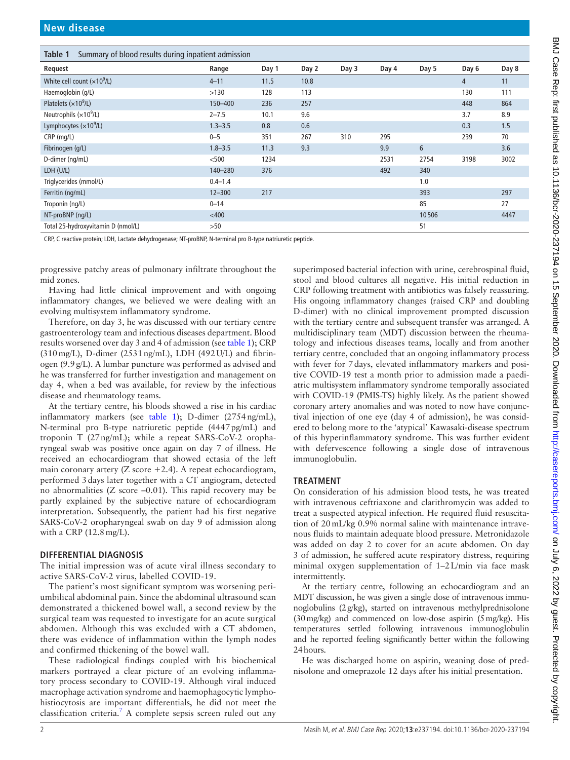<span id="page-1-0"></span>

| Summary of blood results during inpatient admission<br>Table 1 |             |       |       |       |       |       |       |       |
|----------------------------------------------------------------|-------------|-------|-------|-------|-------|-------|-------|-------|
| Request                                                        | Range       | Day 1 | Day 2 | Day 3 | Day 4 | Day 5 | Day 6 | Day 8 |
| White cell count $(x109/L)$                                    | $4 - 11$    | 11.5  | 10.8  |       |       |       | 4     | 11    |
| Haemoglobin (g/L)                                              | >130        | 128   | 113   |       |       |       | 130   | 111   |
| Platelets $(x109/L)$                                           | 150-400     | 236   | 257   |       |       |       | 448   | 864   |
| Neutrophils $(x10^9/L)$                                        | $2 - 7.5$   | 10.1  | 9.6   |       |       |       | 3.7   | 8.9   |
| Lymphocytes $(x109/L)$                                         | $1.3 - 3.5$ | 0.8   | 0.6   |       |       |       | 0.3   | 1.5   |
| CRP (mg/L)                                                     | $0 - 5$     | 351   | 267   | 310   | 295   |       | 239   | 70    |
| Fibrinogen (g/L)                                               | $1.8 - 3.5$ | 11.3  | 9.3   |       | 9.9   | 6     |       | 3.6   |
| D-dimer (ng/mL)                                                | $500$       | 1234  |       |       | 2531  | 2754  | 3198  | 3002  |
| LDH (U/L)                                                      | 140-280     | 376   |       |       | 492   | 340   |       |       |
| Triglycerides (mmol/L)                                         | $0.4 - 1.4$ |       |       |       |       | 1.0   |       |       |
| Ferritin (ng/mL)                                               | $12 - 300$  | 217   |       |       |       | 393   |       | 297   |
| Troponin (ng/L)                                                | $0 - 14$    |       |       |       |       | 85    |       | 27    |
| NT-proBNP (ng/L)                                               | $<$ 400     |       |       |       |       | 10506 |       | 4447  |
| Total 25-hydroxyvitamin D (nmol/L)                             | >50         |       |       |       |       | 51    |       |       |

CRP, C reactive protein; LDH, Lactate dehydrogenase; NT-proBNP, N-terminal pro B-type natriuretic peptide.

progressive patchy areas of pulmonary infiltrate throughout the mid zones.

Having had little clinical improvement and with ongoing inflammatory changes, we believed we were dealing with an evolving multisystem inflammatory syndrome.

Therefore, on day 3, he was discussed with our tertiary centre gastroenterology team and infectious diseases department. Blood results worsened over day 3 and 4 of admission (see [table](#page-1-0) 1); CRP (310mg/L), D-dimer (2531ng/mL), LDH (492U/L) and fibrinogen (9.9g/L). A lumbar puncture was performed as advised and he was transferred for further investigation and management on day 4, when a bed was available, for review by the infectious disease and rheumatology teams.

At the tertiary centre, his bloods showed a rise in his cardiac inflammatory markers (see [table](#page-1-0) 1); D-dimer (2754ng/mL), N-terminal pro B-type natriuretic peptide (4447pg/mL) and troponin T (27ng/mL); while a repeat SARS-CoV-2 oropharyngeal swab was positive once again on day 7 of illness. He received an echocardiogram that showed ectasia of the left main coronary artery  $(Z \text{ score } +2.4)$ . A repeat echocardiogram, performed 3days later together with a CT angiogram, detected no abnormalities (Z score –0.01). This rapid recovery may be partly explained by the subjective nature of echocardiogram interpretation. Subsequently, the patient had his first negative SARS-CoV-2 oropharyngeal swab on day 9 of admission along with a CRP (12.8mg/L).

### **DIFFERENTIAL DIAGNOSIS**

The initial impression was of acute viral illness secondary to active SARS-CoV-2 virus, labelled COVID-19.

The patient's most significant symptom was worsening periumbilical abdominal pain. Since the abdominal ultrasound scan demonstrated a thickened bowel wall, a second review by the surgical team was requested to investigate for an acute surgical abdomen. Although this was excluded with a CT abdomen, there was evidence of inflammation within the lymph nodes and confirmed thickening of the bowel wall.

These radiological findings coupled with his biochemical markers portrayed a clear picture of an evolving inflammatory process secondary to COVID-19. Although viral induced macrophage activation syndrome and haemophagocytic lymphohistiocytosis are important differentials, he did not meet the classification criteria.<sup>[7](#page-3-1)</sup> A complete sepsis screen ruled out any superimposed bacterial infection with urine, cerebrospinal fluid, stool and blood cultures all negative. His initial reduction in CRP following treatment with antibiotics was falsely reassuring. His ongoing inflammatory changes (raised CRP and doubling D-dimer) with no clinical improvement prompted discussion with the tertiary centre and subsequent transfer was arranged. A multidisciplinary team (MDT) discussion between the rheumatology and infectious diseases teams, locally and from another tertiary centre, concluded that an ongoing inflammatory process with fever for 7days, elevated inflammatory markers and positive COVID-19 test a month prior to admission made a paediatric multisystem inflammatory syndrome temporally associated with COVID-19 (PMIS-TS) highly likely. As the patient showed coronary artery anomalies and was noted to now have conjunctival injection of one eye (day 4 of admission), he was considered to belong more to the 'atypical' Kawasaki-disease spectrum of this hyperinflammatory syndrome. This was further evident with defervescence following a single dose of intravenous immunoglobulin.

### **TREATMENT**

On consideration of his admission blood tests, he was treated with intravenous ceftriaxone and clarithromycin was added to treat a suspected atypical infection. He required fluid resuscitation of 20mL/kg 0.9% normal saline with maintenance intravenous fluids to maintain adequate blood pressure. Metronidazole was added on day 2 to cover for an acute abdomen. On day 3 of admission, he suffered acute respiratory distress, requiring minimal oxygen supplementation of 1–2L/min via face mask intermittently.

At the tertiary centre, following an echocardiogram and an MDT discussion, he was given a single dose of intravenous immunoglobulins (2g/kg), started on intravenous methylprednisolone (30mg/kg) and commenced on low-dose aspirin (5mg/kg). His temperatures settled following intravenous immunoglobulin and he reported feeling significantly better within the following 24hours.

He was discharged home on aspirin, weaning dose of prednisolone and omeprazole 12 days after his initial presentation.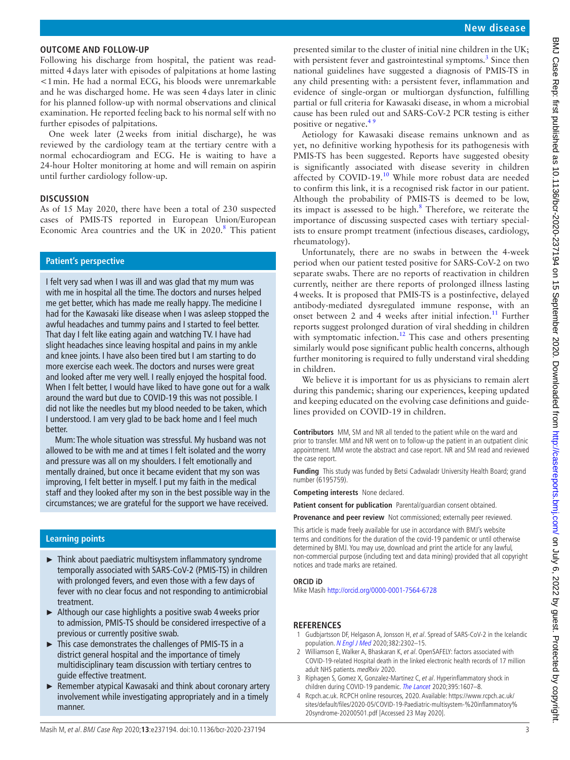# **OUTCOME AND FOLLOW-UP**

Following his discharge from hospital, the patient was readmitted 4days later with episodes of palpitations at home lasting <1min. He had a normal ECG, his bloods were unremarkable and he was discharged home. He was seen 4days later in clinic for his planned follow-up with normal observations and clinical examination. He reported feeling back to his normal self with no further episodes of palpitations.

One week later (2weeks from initial discharge), he was reviewed by the cardiology team at the tertiary centre with a normal echocardiogram and ECG. He is waiting to have a 24-hour Holter monitoring at home and will remain on aspirin until further cardiology follow-up.

# **DISCUSSION**

As of 15 May 2020, there have been a total of 230 suspected cases of PMIS-TS reported in European Union/European Economic Area countries and the UK in  $2020$ .<sup>[8](#page-3-2)</sup> This patient

### **Patient's perspective**

I felt very sad when I was ill and was glad that my mum was with me in hospital all the time. The doctors and nurses helped me get better, which has made me really happy. The medicine I had for the Kawasaki like disease when I was asleep stopped the awful headaches and tummy pains and I started to feel better. That day I felt like eating again and watching TV. I have had slight headaches since leaving hospital and pains in my ankle and knee joints. I have also been tired but I am starting to do more exercise each week. The doctors and nurses were great and looked after me very well. I really enjoyed the hospital food. When I felt better, I would have liked to have gone out for a walk around the ward but due to COVID-19 this was not possible. I did not like the needles but my blood needed to be taken, which I understood. I am very glad to be back home and I feel much better.

Mum: The whole situation was stressful. My husband was not allowed to be with me and at times I felt isolated and the worry and pressure was all on my shoulders. I felt emotionally and mentally drained, but once it became evident that my son was improving, I felt better in myself. I put my faith in the medical staff and they looked after my son in the best possible way in the circumstances; we are grateful for the support we have received.

## **Learning points**

- ► Think about paediatric multisystem inflammatory syndrome temporally associated with SARS-CoV-2 (PMIS-TS) in children with prolonged fevers, and even those with a few days of fever with no clear focus and not responding to antimicrobial treatment.
- ► Although our case highlights a positive swab 4weeks prior to admission, PMIS-TS should be considered irrespective of a previous or currently positive swab.
- ► This case demonstrates the challenges of PMIS-TS in a district general hospital and the importance of timely multidisciplinary team discussion with tertiary centres to guide effective treatment.
- ► Remember atypical Kawasaki and think about coronary artery involvement while investigating appropriately and in a timely manner.

presented similar to the cluster of initial nine children in the UK; with persistent fever and gastrointestinal symptoms.<sup>[3](#page-2-1)</sup> Since then national guidelines have suggested a diagnosis of PMIS-TS in any child presenting with: a persistent fever, inflammation and evidence of single-organ or multiorgan dysfunction, fulfilling partial or full criteria for Kawasaki disease, in whom a microbial cause has been ruled out and SARS-CoV-2 PCR testing is either positive or negative.<sup>49</sup>

Aetiology for Kawasaki disease remains unknown and as yet, no definitive working hypothesis for its pathogenesis with PMIS-TS has been suggested. Reports have suggested obesity is significantly associated with disease severity in children affected by COVID-19.<sup>10</sup> While more robust data are needed to confirm this link, it is a recognised risk factor in our patient. Although the probability of PMIS-TS is deemed to be low, its impact is assessed to be high. $8$  Therefore, we reiterate the importance of discussing suspected cases with tertiary specialists to ensure prompt treatment (infectious diseases, cardiology, rheumatology).

Unfortunately, there are no swabs in between the 4-week period when our patient tested positive for SARS-CoV-2 on two separate swabs. There are no reports of reactivation in children currently, neither are there reports of prolonged illness lasting 4weeks. It is proposed that PMIS-TS is a postinfective, delayed antibody-mediated dysregulated immune response, with an onset between 2 and 4 weeks after initial infection.<sup>11</sup> Further reports suggest prolonged duration of viral shedding in children with symptomatic infection.<sup>12</sup> This case and others presenting similarly would pose significant public health concerns, although further monitoring is required to fully understand viral shedding in children.

We believe it is important for us as physicians to remain alert during this pandemic; sharing our experiences, keeping updated and keeping educated on the evolving case definitions and guidelines provided on COVID-19 in children.

**Contributors** MM, SM and NR all tended to the patient while on the ward and prior to transfer. MM and NR went on to follow-up the patient in an outpatient clinic appointment. MM wrote the abstract and case report. NR and SM read and reviewed the case report.

**Funding** This study was funded by Betsi Cadwaladr University Health Board; grand number (6195759).

**Competing interests** None declared.

**Patient consent for publication** Parental/guardian consent obtained.

**Provenance and peer review** Not commissioned; externally peer reviewed.

This article is made freely available for use in accordance with BMJ's website terms and conditions for the duration of the covid-19 pandemic or until otherwise determined by BMJ. You may use, download and print the article for any lawful, non-commercial purpose (including text and data mining) provided that all copyright notices and trade marks are retained.

### **ORCID iD**

Mike Masih<http://orcid.org/0000-0001-7564-6728>

## **REFERENCES**

- <span id="page-2-0"></span>1 Gudbjartsson DF, Helgason A, Jonsson H, et al. Spread of SARS-CoV-2 in the Icelandic population. [N Engl J Med](http://dx.doi.org/10.1056/NEJMoa2006100) 2020;382:2302–15.
- 2 Williamson E, Walker A, Bhaskaran K, et al. OpenSAFELY: factors associated with COVID-19-related Hospital death in the linked electronic health records of 17 million adult NHS patients. medRxiv 2020.
- <span id="page-2-1"></span>3 Riphagen S, Gomez X, Gonzalez-Martinez C, et al. Hyperinflammatory shock in children during COVID-19 pandemic. [The Lancet](http://dx.doi.org/10.1016/S0140-6736(20)31094-1) 2020;395:1607–8.
- <span id="page-2-2"></span>4 Rcpch.ac.uk. RCPCH online resources, 2020. Available: [https://www.rcpch.ac.uk/](https://www.rcpch.ac.uk/sites/default/files/2020-05/COVID-19-Paediatric-multisystem-%20inflammatory%20syndrome-20200501.pdf) [sites/default/files/2020-05/COVID-19-Paediatric-multisystem-%20inflammatory%](https://www.rcpch.ac.uk/sites/default/files/2020-05/COVID-19-Paediatric-multisystem-%20inflammatory%20syndrome-20200501.pdf) [20syndrome-20200501.pdf](https://www.rcpch.ac.uk/sites/default/files/2020-05/COVID-19-Paediatric-multisystem-%20inflammatory%20syndrome-20200501.pdf) [Accessed 23 May 2020].